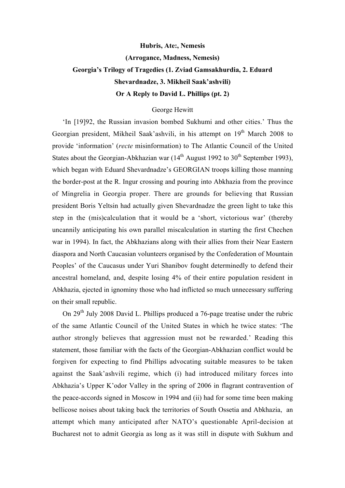## **Hubris, Ate:, Nemesis (Arrogance, Madness, Nemesis) Georgia's Trilogy of Tragedies (1. Zviad Gamsakhurdia, 2. Eduard Shevardnadze, 3. Mikheil Saak'ashvili) Or A Reply to David L. Phillips (pt. 2)**

## George Hewitt

'In [19]92, the Russian invasion bombed Sukhumi and other cities.' Thus the Georgian president, Mikheil Saak'ashvili, in his attempt on 19<sup>th</sup> March 2008 to provide 'information' (*recte* misinformation) to The Atlantic Council of the United States about the Georgian-Abkhazian war  $(14<sup>th</sup>$  August 1992 to 30<sup>th</sup> September 1993), which began with Eduard Shevardnadze's GEORGIAN troops killing those manning the border-post at the R. Ingur crossing and pouring into Abkhazia from the province of Mingrelia in Georgia proper. There are grounds for believing that Russian president Boris Yeltsin had actually given Shevardnadze the green light to take this step in the (mis)calculation that it would be a 'short, victorious war' (thereby uncannily anticipating his own parallel miscalculation in starting the first Chechen war in 1994). In fact, the Abkhazians along with their allies from their Near Eastern diaspora and North Caucasian volunteers organised by the Confederation of Mountain Peoples' of the Caucasus under Yuri Shanibov fought determinedly to defend their ancestral homeland, and, despite losing 4% of their entire population resident in Abkhazia, ejected in ignominy those who had inflicted so much unnecessary suffering on their small republic.

On  $29<sup>th</sup>$  July 2008 David L. Phillips produced a 76-page treatise under the rubric of the same Atlantic Council of the United States in which he twice states: 'The author strongly believes that aggression must not be rewarded.' Reading this statement, those familiar with the facts of the Georgian-Abkhazian conflict would be forgiven for expecting to find Phillips advocating suitable measures to be taken against the Saak'ashvili regime, which (i) had introduced military forces into Abkhazia's Upper K'odor Valley in the spring of 2006 in flagrant contravention of the peace-accords signed in Moscow in 1994 and (ii) had for some time been making bellicose noises about taking back the territories of South Ossetia and Abkhazia, an attempt which many anticipated after NATO's questionable April-decision at Bucharest not to admit Georgia as long as it was still in dispute with Sukhum and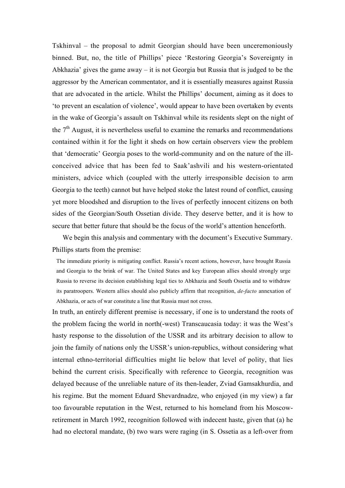Tskhinval – the proposal to admit Georgian should have been unceremoniously binned. But, no, the title of Phillips' piece 'Restoring Georgia's Sovereignty in Abkhazia' gives the game away – it is not Georgia but Russia that is judged to be the aggressor by the American commentator, and it is essentially measures against Russia that are advocated in the article. Whilst the Phillips' document, aiming as it does to 'to prevent an escalation of violence', would appear to have been overtaken by events in the wake of Georgia's assault on Tskhinval while its residents slept on the night of the  $7<sup>th</sup>$  August, it is nevertheless useful to examine the remarks and recommendations contained within it for the light it sheds on how certain observers view the problem that 'democratic' Georgia poses to the world-community and on the nature of the illconceived advice that has been fed to Saak'ashvili and his western-orientated ministers, advice which (coupled with the utterly irresponsible decision to arm Georgia to the teeth) cannot but have helped stoke the latest round of conflict, causing yet more bloodshed and disruption to the lives of perfectly innocent citizens on both sides of the Georgian/South Ossetian divide. They deserve better, and it is how to secure that better future that should be the focus of the world's attention henceforth.

We begin this analysis and commentary with the document's Executive Summary. Phillips starts from the premise:

The immediate priority is mitigating conflict. Russia's recent actions, however, have brought Russia and Georgia to the brink of war. The United States and key European allies should strongly urge Russia to reverse its decision establishing legal ties to Abkhazia and South Ossetia and to withdraw its paratroopers. Western allies should also publicly affirm that recognition, *de-facto* annexation of Abkhazia, or acts of war constitute a line that Russia must not cross.

In truth, an entirely different premise is necessary, if one is to understand the roots of the problem facing the world in north(-west) Transcaucasia today: it was the West's hasty response to the dissolution of the USSR and its arbitrary decision to allow to join the family of nations only the USSR's union-republics, without considering what internal ethno-territorial difficulties might lie below that level of polity, that lies behind the current crisis. Specifically with reference to Georgia, recognition was delayed because of the unreliable nature of its then-leader, Zviad Gamsakhurdia, and his regime. But the moment Eduard Shevardnadze, who enjoyed (in my view) a far too favourable reputation in the West, returned to his homeland from his Moscowretirement in March 1992, recognition followed with indecent haste, given that (a) he had no electoral mandate, (b) two wars were raging (in S. Ossetia as a left-over from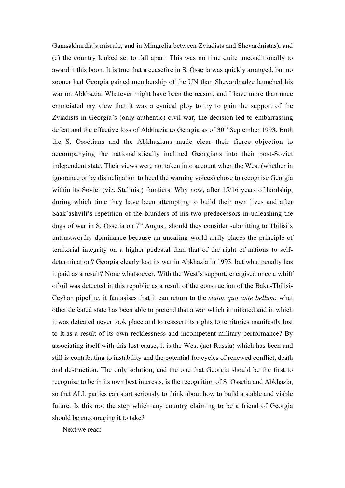Gamsakhurdia's misrule, and in Mingrelia between Zviadists and Shevardnistas), and (c) the country looked set to fall apart. This was no time quite unconditionally to award it this boon. It is true that a ceasefire in S. Ossetia was quickly arranged, but no sooner had Georgia gained membership of the UN than Shevardnadze launched his war on Abkhazia. Whatever might have been the reason, and I have more than once enunciated my view that it was a cynical ploy to try to gain the support of the Zviadists in Georgia's (only authentic) civil war, the decision led to embarrassing defeat and the effective loss of Abkhazia to Georgia as of  $30<sup>th</sup>$  September 1993. Both the S. Ossetians and the Abkhazians made clear their fierce objection to accompanying the nationalistically inclined Georgians into their post-Soviet independent state. Their views were not taken into account when the West (whether in ignorance or by disinclination to heed the warning voices) chose to recognise Georgia within its Soviet (viz. Stalinist) frontiers. Why now, after 15/16 years of hardship, during which time they have been attempting to build their own lives and after Saak'ashvili's repetition of the blunders of his two predecessors in unleashing the dogs of war in S. Ossetia on  $7<sup>th</sup>$  August, should they consider submitting to Tbilisi's untrustworthy dominance because an uncaring world airily places the principle of territorial integrity on a higher pedestal than that of the right of nations to selfdetermination? Georgia clearly lost its war in Abkhazia in 1993, but what penalty has it paid as a result? None whatsoever. With the West's support, energised once a whiff of oil was detected in this republic as a result of the construction of the Baku-Tbilisi-Ceyhan pipeline, it fantasises that it can return to the *status quo ante bellum*; what other defeated state has been able to pretend that a war which it initiated and in which it was defeated never took place and to reassert its rights to territories manifestly lost to it as a result of its own recklessness and incompetent military performance? By associating itself with this lost cause, it is the West (not Russia) which has been and still is contributing to instability and the potential for cycles of renewed conflict, death and destruction. The only solution, and the one that Georgia should be the first to recognise to be in its own best interests, is the recognition of S. Ossetia and Abkhazia, so that ALL parties can start seriously to think about how to build a stable and viable future. Is this not the step which any country claiming to be a friend of Georgia should be encouraging it to take?

Next we read: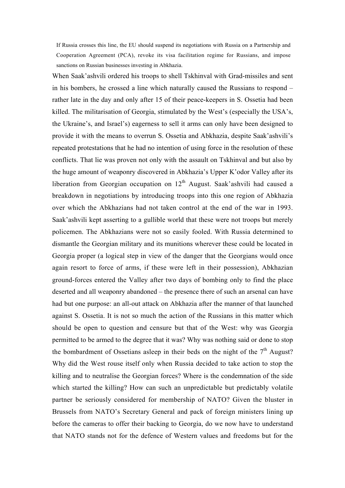If Russia crosses this line, the EU should suspend its negotiations with Russia on a Partnership and Cooperation Agreement (PCA), revoke its visa facilitation regime for Russians, and impose sanctions on Russian businesses investing in Abkhazia.

When Saak'ashvili ordered his troops to shell Tskhinval with Grad-missiles and sent in his bombers, he crossed a line which naturally caused the Russians to respond – rather late in the day and only after 15 of their peace-keepers in S. Ossetia had been killed. The militarisation of Georgia, stimulated by the West's (especially the USA's, the Ukraine's, and Israel's) eagerness to sell it arms can only have been designed to provide it with the means to overrun S. Ossetia and Abkhazia, despite Saak'ashvili's repeated protestations that he had no intention of using force in the resolution of these conflicts. That lie was proven not only with the assault on Tskhinval and but also by the huge amount of weaponry discovered in Abkhazia's Upper K'odor Valley after its liberation from Georgian occupation on  $12<sup>th</sup>$  August. Saak'ashvili had caused a breakdown in negotiations by introducing troops into this one region of Abkhazia over which the Abkhazians had not taken control at the end of the war in 1993. Saak'ashvili kept asserting to a gullible world that these were not troops but merely policemen. The Abkhazians were not so easily fooled. With Russia determined to dismantle the Georgian military and its munitions wherever these could be located in Georgia proper (a logical step in view of the danger that the Georgians would once again resort to force of arms, if these were left in their possession), Abkhazian ground-forces entered the Valley after two days of bombing only to find the place deserted and all weaponry abandoned – the presence there of such an arsenal can have had but one purpose: an all-out attack on Abkhazia after the manner of that launched against S. Ossetia. It is not so much the action of the Russians in this matter which should be open to question and censure but that of the West: why was Georgia permitted to be armed to the degree that it was? Why was nothing said or done to stop the bombardment of Ossetians asleep in their beds on the night of the  $7<sup>th</sup>$  August? Why did the West rouse itself only when Russia decided to take action to stop the killing and to neutralise the Georgian forces? Where is the condemnation of the side which started the killing? How can such an unpredictable but predictably volatile partner be seriously considered for membership of NATO? Given the bluster in Brussels from NATO's Secretary General and pack of foreign ministers lining up before the cameras to offer their backing to Georgia, do we now have to understand that NATO stands not for the defence of Western values and freedoms but for the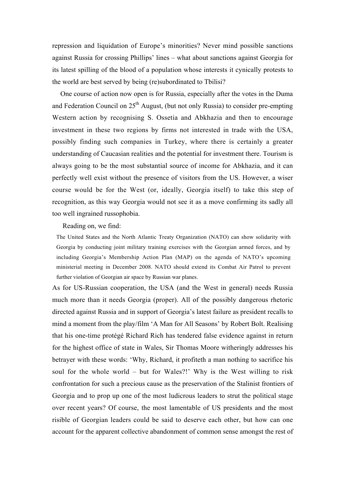repression and liquidation of Europe's minorities? Never mind possible sanctions against Russia for crossing Phillips' lines – what about sanctions against Georgia for its latest spilling of the blood of a population whose interests it cynically protests to the world are best served by being (re)subordinated to Tbilisi?

One course of action now open is for Russia, especially after the votes in the Duma and Federation Council on  $25<sup>th</sup>$  August, (but not only Russia) to consider pre-empting Western action by recognising S. Ossetia and Abkhazia and then to encourage investment in these two regions by firms not interested in trade with the USA, possibly finding such companies in Turkey, where there is certainly a greater understanding of Caucasian realities and the potential for investment there. Tourism is always going to be the most substantial source of income for Abkhazia, and it can perfectly well exist without the presence of visitors from the US. However, a wiser course would be for the West (or, ideally, Georgia itself) to take this step of recognition, as this way Georgia would not see it as a move confirming its sadly all too well ingrained russophobia.

## Reading on, we find:

The United States and the North Atlantic Treaty Organization (NATO) can show solidarity with Georgia by conducting joint military training exercises with the Georgian armed forces, and by including Georgia's Membership Action Plan (MAP) on the agenda of NATO's upcoming ministerial meeting in December 2008. NATO should extend its Combat Air Patrol to prevent further violation of Georgian air space by Russian war planes.

As for US-Russian cooperation, the USA (and the West in general) needs Russia much more than it needs Georgia (proper). All of the possibly dangerous rhetoric directed against Russia and in support of Georgia's latest failure as president recalls to mind a moment from the play/film 'A Man for All Seasons' by Robert Bolt. Realising that his one-time protégé Richard Rich has tendered false evidence against in return for the highest office of state in Wales, Sir Thomas Moore witheringly addresses his betrayer with these words: 'Why, Richard, it profiteth a man nothing to sacrifice his soul for the whole world – but for Wales?!' Why is the West willing to risk confrontation for such a precious cause as the preservation of the Stalinist frontiers of Georgia and to prop up one of the most ludicrous leaders to strut the political stage over recent years? Of course, the most lamentable of US presidents and the most risible of Georgian leaders could be said to deserve each other, but how can one account for the apparent collective abandonment of common sense amongst the rest of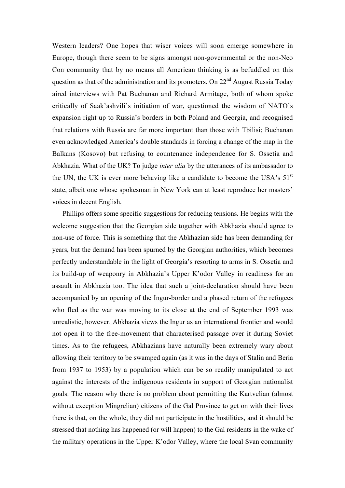Western leaders? One hopes that wiser voices will soon emerge somewhere in Europe, though there seem to be signs amongst non-governmental or the non-Neo Con community that by no means all American thinking is as befuddled on this question as that of the administration and its promoters. On  $22<sup>nd</sup>$  August Russia Today aired interviews with Pat Buchanan and Richard Armitage, both of whom spoke critically of Saak'ashvili's initiation of war, questioned the wisdom of NATO's expansion right up to Russia's borders in both Poland and Georgia, and recognised that relations with Russia are far more important than those with Tbilisi; Buchanan even acknowledged America's double standards in forcing a change of the map in the Balkans (Kosovo) but refusing to countenance independence for S. Ossetia and Abkhazia. What of the UK? To judge *inter alia* by the utterances of its ambassador to the UN, the UK is ever more behaving like a candidate to become the USA's  $51<sup>st</sup>$ state, albeit one whose spokesman in New York can at least reproduce her masters' voices in decent English.

Phillips offers some specific suggestions for reducing tensions. He begins with the welcome suggestion that the Georgian side together with Abkhazia should agree to non-use of force. This is something that the Abkhazian side has been demanding for years, but the demand has been spurned by the Georgian authorities, which becomes perfectly understandable in the light of Georgia's resorting to arms in S. Ossetia and its build-up of weaponry in Abkhazia's Upper K'odor Valley in readiness for an assault in Abkhazia too. The idea that such a joint-declaration should have been accompanied by an opening of the Ingur-border and a phased return of the refugees who fled as the war was moving to its close at the end of September 1993 was unrealistic, however. Abkhazia views the Ingur as an international frontier and would not open it to the free-movement that characterised passage over it during Soviet times. As to the refugees, Abkhazians have naturally been extremely wary about allowing their territory to be swamped again (as it was in the days of Stalin and Beria from 1937 to 1953) by a population which can be so readily manipulated to act against the interests of the indigenous residents in support of Georgian nationalist goals. The reason why there is no problem about permitting the Kartvelian (almost without exception Mingrelian) citizens of the Gal Province to get on with their lives there is that, on the whole, they did not participate in the hostilities, and it should be stressed that nothing has happened (or will happen) to the Gal residents in the wake of the military operations in the Upper K'odor Valley, where the local Svan community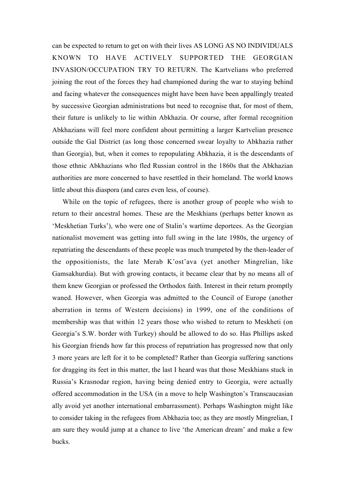can be expected to return to get on with their lives AS LONG AS NO INDIVIDUALS KNOWN TO HAVE ACTIVELY SUPPORTED THE GEORGIAN INVASION/OCCUPATION TRY TO RETURN. The Kartvelians who preferred joining the rout of the forces they had championed during the war to staying behind and facing whatever the consequences might have been have been appallingly treated by successive Georgian administrations but need to recognise that, for most of them, their future is unlikely to lie within Abkhazia. Or course, after formal recognition Abkhazians will feel more confident about permitting a larger Kartvelian presence outside the Gal District (as long those concerned swear loyalty to Abkhazia rather than Georgia), but, when it comes to repopulating Abkhazia, it is the descendants of those ethnic Abkhazians who fled Russian control in the 1860s that the Abkhazian authorities are more concerned to have resettled in their homeland. The world knows little about this diaspora (and cares even less, of course).

While on the topic of refugees, there is another group of people who wish to return to their ancestral homes. These are the Meskhians (perhaps better known as 'Meskhetian Turks'), who were one of Stalin's wartime deportees. As the Georgian nationalist movement was getting into full swing in the late 1980s, the urgency of repatriating the descendants of these people was much trumpeted by the then-leader of the oppositionists, the late Merab K'ost'ava (yet another Mingrelian, like Gamsakhurdia). But with growing contacts, it became clear that by no means all of them knew Georgian or professed the Orthodox faith. Interest in their return promptly waned. However, when Georgia was admitted to the Council of Europe (another aberration in terms of Western decisions) in 1999, one of the conditions of membership was that within 12 years those who wished to return to Meskheti (on Georgia's S.W. border with Turkey) should be allowed to do so. Has Phillips asked his Georgian friends how far this process of repatriation has progressed now that only 3 more years are left for it to be completed? Rather than Georgia suffering sanctions for dragging its feet in this matter, the last I heard was that those Meskhians stuck in Russia's Krasnodar region, having being denied entry to Georgia, were actually offered accommodation in the USA (in a move to help Washington's Transcaucasian ally avoid yet another international embarrassment). Perhaps Washington might like to consider taking in the refugees from Abkhazia too; as they are mostly Mingrelian, I am sure they would jump at a chance to live 'the American dream' and make a few bucks.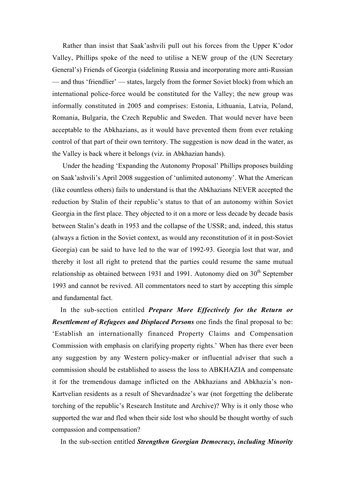Rather than insist that Saak'ashvili pull out his forces from the Upper K'odor Valley, Phillips spoke of the need to utilise a NEW group of the (UN Secretary General's) Friends of Georgia (sidelining Russia and incorporating more anti-Russian — and thus 'friendlier' — states, largely from the former Soviet block) from which an international police-force would be constituted for the Valley; the new group was informally constituted in 2005 and comprises: Estonia, Lithuania, Latvia, Poland, Romania, Bulgaria, the Czech Republic and Sweden. That would never have been acceptable to the Abkhazians, as it would have prevented them from ever retaking control of that part of their own territory. The suggestion is now dead in the water, as the Valley is back where it belongs (viz. in Abkhazian hands).

Under the heading 'Expanding the Autonomy Proposal' Phillips proposes building on Saak'ashvili's April 2008 suggestion of 'unlimited autonomy'. What the American (like countless others) fails to understand is that the Abkhazians NEVER accepted the reduction by Stalin of their republic's status to that of an autonomy within Soviet Georgia in the first place. They objected to it on a more or less decade by decade basis between Stalin's death in 1953 and the collapse of the USSR; and, indeed, this status (always a fiction in the Soviet context, as would any reconstitution of it in post-Soviet Georgia) can be said to have led to the war of 1992-93. Georgia lost that war, and thereby it lost all right to pretend that the parties could resume the same mutual relationship as obtained between 1931 and 1991. Autonomy died on  $30<sup>th</sup>$  September 1993 and cannot be revived. All commentators need to start by accepting this simple and fundamental fact.

In the sub-section entitled *Prepare More Effectively for the Return or Resettlement of Refugees and Displaced Persons* one finds the final proposal to be: 'Establish an internationally financed Property Claims and Compensation Commission with emphasis on clarifying property rights.' When has there ever been any suggestion by any Western policy-maker or influential adviser that such a commission should be established to assess the loss to ABKHAZIA and compensate it for the tremendous damage inflicted on the Abkhazians and Abkhazia's non-Kartvelian residents as a result of Shevardnadze's war (not forgetting the deliberate torching of the republic's Research Institute and Archive)? Why is it only those who supported the war and fled when their side lost who should be thought worthy of such compassion and compensation?

In the sub-section entitled *Strengthen Georgian Democracy, including Minority*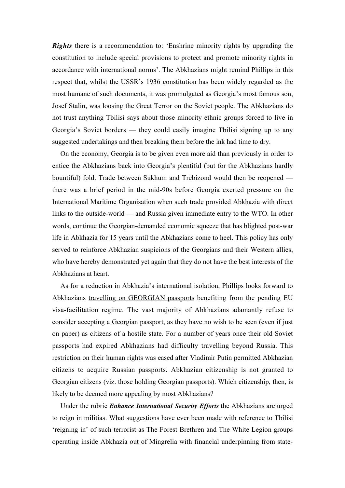*Rights* there is a recommendation to: 'Enshrine minority rights by upgrading the constitution to include special provisions to protect and promote minority rights in accordance with international norms'. The Abkhazians might remind Phillips in this respect that, whilst the USSR's 1936 constitution has been widely regarded as the most humane of such documents, it was promulgated as Georgia's most famous son, Josef Stalin, was loosing the Great Terror on the Soviet people. The Abkhazians do not trust anything Tbilisi says about those minority ethnic groups forced to live in Georgia's Soviet borders — they could easily imagine Tbilisi signing up to any suggested undertakings and then breaking them before the ink had time to dry.

On the economy, Georgia is to be given even more aid than previously in order to entice the Abkhazians back into Georgia's plentiful (but for the Abkhazians hardly bountiful) fold. Trade between Sukhum and Trebizond would then be reopened there was a brief period in the mid-90s before Georgia exerted pressure on the International Maritime Organisation when such trade provided Abkhazia with direct links to the outside-world — and Russia given immediate entry to the WTO. In other words, continue the Georgian-demanded economic squeeze that has blighted post-war life in Abkhazia for 15 years until the Abkhazians come to heel. This policy has only served to reinforce Abkhazian suspicions of the Georgians and their Western allies, who have hereby demonstrated yet again that they do not have the best interests of the Abkhazians at heart.

As for a reduction in Abkhazia's international isolation, Phillips looks forward to Abkhazians travelling on GEORGIAN passports benefiting from the pending EU visa-facilitation regime. The vast majority of Abkhazians adamantly refuse to consider accepting a Georgian passport, as they have no wish to be seen (even if just on paper) as citizens of a hostile state. For a number of years once their old Soviet passports had expired Abkhazians had difficulty travelling beyond Russia. This restriction on their human rights was eased after Vladimir Putin permitted Abkhazian citizens to acquire Russian passports. Abkhazian citizenship is not granted to Georgian citizens (viz. those holding Georgian passports). Which citizenship, then, is likely to be deemed more appealing by most Abkhazians?

Under the rubric *Enhance International Security Efforts* the Abkhazians are urged to reign in militias. What suggestions have ever been made with reference to Tbilisi 'reigning in' of such terrorist as The Forest Brethren and The White Legion groups operating inside Abkhazia out of Mingrelia with financial underpinning from state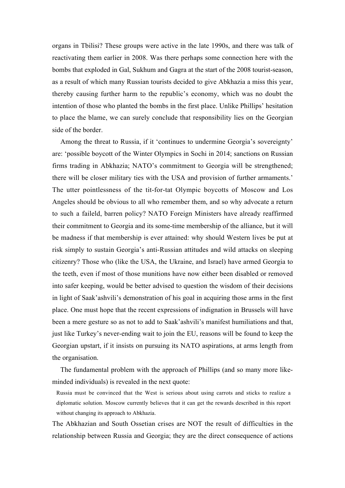organs in Tbilisi? These groups were active in the late 1990s, and there was talk of reactivating them earlier in 2008. Was there perhaps some connection here with the bombs that exploded in Gal, Sukhum and Gagra at the start of the 2008 tourist-season, as a result of which many Russian tourists decided to give Abkhazia a miss this year, thereby causing further harm to the republic's economy, which was no doubt the intention of those who planted the bombs in the first place. Unlike Phillips' hesitation to place the blame, we can surely conclude that responsibility lies on the Georgian side of the border.

Among the threat to Russia, if it 'continues to undermine Georgia's sovereignty' are: 'possible boycott of the Winter Olympics in Sochi in 2014; sanctions on Russian firms trading in Abkhazia; NATO's commitment to Georgia will be strengthened; there will be closer military ties with the USA and provision of further armaments.' The utter pointlessness of the tit-for-tat Olympic boycotts of Moscow and Los Angeles should be obvious to all who remember them, and so why advocate a return to such a faileld, barren policy? NATO Foreign Ministers have already reaffirmed their commitment to Georgia and its some-time membership of the alliance, but it will be madness if that membership is ever attained: why should Western lives be put at risk simply to sustain Georgia's anti-Russian attitudes and wild attacks on sleeping citizenry? Those who (like the USA, the Ukraine, and Israel) have armed Georgia to the teeth, even if most of those munitions have now either been disabled or removed into safer keeping, would be better advised to question the wisdom of their decisions in light of Saak'ashvili's demonstration of his goal in acquiring those arms in the first place. One must hope that the recent expressions of indignation in Brussels will have been a mere gesture so as not to add to Saak'ashvili's manifest humiliations and that, just like Turkey's never-ending wait to join the EU, reasons will be found to keep the Georgian upstart, if it insists on pursuing its NATO aspirations, at arms length from the organisation.

The fundamental problem with the approach of Phillips (and so many more likeminded individuals) is revealed in the next quote:

The Abkhazian and South Ossetian crises are NOT the result of difficulties in the relationship between Russia and Georgia; they are the direct consequence of actions

Russia must be convinced that the West is serious about using carrots and sticks to realize a diplomatic solution. Moscow currently believes that it can get the rewards described in this report without changing its approach to Abkhazia.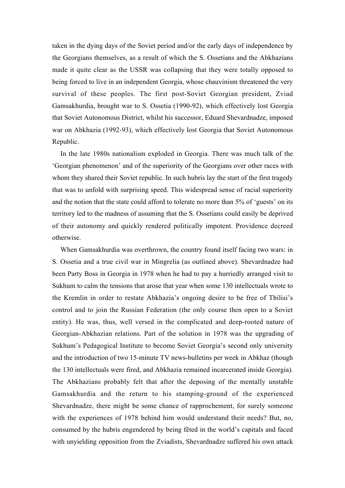taken in the dying days of the Soviet period and/or the early days of independence by the Georgians themselves, as a result of which the S. Ossetians and the Abkhazians made it quite clear as the USSR was collapsing that they were totally opposed to being forced to live in an independent Georgia, whose chauvinism threatened the very survival of these peoples. The first post-Soviet Georgian president, Zviad Gamsakhurdia, brought war to S. Ossetia (1990-92), which effectively lost Georgia that Soviet Autonomous District, whilst his successor, Eduard Shevardnadze, imposed war on Abkhazia (1992-93), which effectively lost Georgia that Soviet Autonomous Republic.

In the late 1980s nationalism exploded in Georgia. There was much talk of the 'Georgian phenomenon' and of the superiority of the Georgians over other races with whom they shared their Soviet republic. In such hubris lay the start of the first tragedy that was to unfold with surprising speed. This widespread sense of racial superiority and the notion that the state could afford to tolerate no more than 5% of 'guests' on its territory led to the madness of assuming that the S. Ossetians could easily be deprived of their autonomy and quickly rendered politically impotent. Providence decreed otherwise.

When Gamsakhurdia was overthrown, the country found itself facing two wars: in S. Ossetia and a true civil war in Mingrelia (as outlined above). Shevardnadze had been Party Boss in Georgia in 1978 when he had to pay a hurriedly arranged visit to Sukhum to calm the tensions that arose that year when some 130 intellectuals wrote to the Kremlin in order to restate Abkhazia's ongoing desire to be free of Tbilisi's control and to join the Russian Federation (the only course then open to a Soviet entity). He was, thus, well versed in the complicated and deep-rooted nature of Georgian-Abkhazian relations. Part of the solution in 1978 was the upgrading of Sukhum's Pedagogical Institute to become Soviet Georgia's second only university and the introduction of two 15-minute TV news-bulletins per week in Abkhaz (though the 130 intellectuals were fired, and Abkhazia remained incarcerated inside Georgia). The Abkhazians probably felt that after the deposing of the mentally unstable Gamsakhurdia and the return to his stamping-ground of the experienced Shevardnadze, there might be some chance of rapprochement, for surely someone with the experiences of 1978 behind him would understand their needs? But, no, consumed by the hubris engendered by being fêted in the world's capitals and faced with unyielding opposition from the Zviadists, Shevardnadze suffered his own attack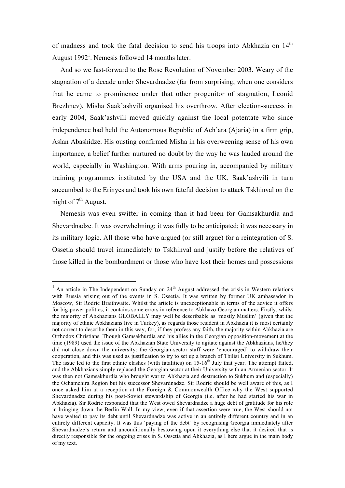of madness and took the fatal decision to send his troops into Abkhazia on 14<sup>th</sup> August  $1992<sup>1</sup>$ . Nemesis followed 14 months later.

And so we fast-forward to the Rose Revolution of November 2003. Weary of the stagnation of a decade under Shevardnadze (far from surprising, when one considers that he came to prominence under that other progenitor of stagnation, Leonid Brezhnev), Misha Saak'ashvili organised his overthrow. After election-success in early 2004, Saak'ashvili moved quickly against the local potentate who since independence had held the Autonomous Republic of Ach'ara (Ajaria) in a firm grip, Aslan Abashidze. His ousting confirmed Misha in his overweening sense of his own importance, a belief further nurtured no doubt by the way he was lauded around the world, especially in Washington. With arms pouring in, accompanied by military training programmes instituted by the USA and the UK, Saak'ashvili in turn succumbed to the Erinyes and took his own fateful decision to attack Tskhinval on the night of  $7<sup>th</sup>$  August.

Nemesis was even swifter in coming than it had been for Gamsakhurdia and Shevardnadze. It was overwhelming; it was fully to be anticipated; it was necessary in its military logic. All those who have argued (or still argue) for a reintegration of S. Ossetia should travel immediately to Tskhinval and justify before the relatives of those killed in the bombardment or those who have lost their homes and possessions

 $1$  An article in The Independent on Sunday on 24<sup>th</sup> August addressed the crisis in Western relations with Russia arising out of the events in S. Ossetia. It was written by former UK ambassador in Moscow, Sir Rodric Braithwaite. Whilst the article is unexceptionable in terms of the advice it offers for big-power politics, it contains some errors in reference to Abkhazo-Georgian matters. Firstly, whilst the majority of Abkhazians GLOBALLY may well be describable as 'mostly Muslim' (given that the majority of ethnic Abkhazians live in Turkey), as regards those resident in Abkhazia it is most certainly not correct to describe them in this way, for, if they profess any faith, the majority within Abkhazia are Orthodox Christians. Though Gamsakhurdia and his allies in the Georgian opposition-movement at the time (1989) used the issue of the Abkhazian State University to agitate against the Abkhazians, he/they did not close down the university: the Georgian-sector staff were 'encouraged' to withdraw their cooperation, and this was used as justification to try to set up a branch of Tbilisi University in Sukhum. The issue led to the first ethnic clashes (with fatalities) on  $15{\text -}16^{\text{th}}$  July that year. The attempt failed, and the Abkhazians simply replaced the Georgian sector at their University with an Armenian sector. It was then not Gamsakhurdia who brought war to Abkhazia and destruction to Sukhum and (especially) the Ochamchira Region but his successor Shevardnadze. Sir Rodric should be well aware of this, as I once asked him at a reception at the Foreign & Commonwealth Office why the West supported Shevardnadze during his post-Soviet stewardship of Georgia (i.e. after he had started his war in Abkhazia). Sir Rodric responded that the West owed Shevardnadze a huge debt of gratitude for his role in bringing down the Berlin Wall. In my view, even if that assertion were true, the West should not have waited to pay its debt until Shevardnadze was active in an entirely different country and in an entirely different capacity. It was this 'paying of the debt' by recognising Georgia immediately after Shevardnadze's return and unconditionally bestowing upon it everything else that it desired that is directly responsible for the ongoing crises in S. Ossetia and Abkhazia, as I here argue in the main body of my text.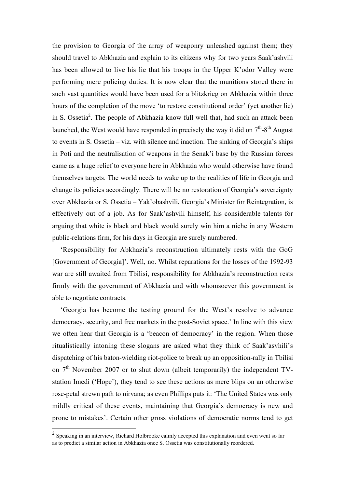the provision to Georgia of the array of weaponry unleashed against them; they should travel to Abkhazia and explain to its citizens why for two years Saak'ashvili has been allowed to live his lie that his troops in the Upper K'odor Valley were performing mere policing duties. It is now clear that the munitions stored there in such vast quantities would have been used for a blitzkrieg on Abkhazia within three hours of the completion of the move 'to restore constitutional order' (yet another lie) in S. Ossetia<sup>2</sup>. The people of Abkhazia know full well that, had such an attack been launched, the West would have responded in precisely the way it did on  $7<sup>th</sup>$ -8<sup>th</sup> August to events in S. Ossetia – viz. with silence and inaction. The sinking of Georgia's ships in Poti and the neutralisation of weapons in the Senak'i base by the Russian forces came as a huge relief to everyone here in Abkhazia who would otherwise have found themselves targets. The world needs to wake up to the realities of life in Georgia and change its policies accordingly. There will be no restoration of Georgia's sovereignty over Abkhazia or S. Ossetia – Yak'obashvili, Georgia's Minister for Reintegration, is effectively out of a job. As for Saak'ashvili himself, his considerable talents for arguing that white is black and black would surely win him a niche in any Western public-relations firm, for his days in Georgia are surely numbered.

'Responsibility for Abkhazia's reconstruction ultimately rests with the GoG [Government of Georgia]'. Well, no. Whilst reparations for the losses of the 1992-93 war are still awaited from Tbilisi, responsibility for Abkhazia's reconstruction rests firmly with the government of Abkhazia and with whomsoever this government is able to negotiate contracts.

'Georgia has become the testing ground for the West's resolve to advance democracy, security, and free markets in the post-Soviet space.' In line with this view we often hear that Georgia is a 'beacon of democracy' in the region. When those ritualistically intoning these slogans are asked what they think of Saak'asvhili's dispatching of his baton-wielding riot-police to break up an opposition-rally in Tbilisi on  $7<sup>th</sup>$  November 2007 or to shut down (albeit temporarily) the independent TVstation Imedi ('Hope'), they tend to see these actions as mere blips on an otherwise rose-petal strewn path to nirvana; as even Phillips puts it: 'The United States was only mildly critical of these events, maintaining that Georgia's democracy is new and prone to mistakes'. Certain other gross violations of democratic norms tend to get

 $2$  Speaking in an interview, Richard Holbrooke calmly accepted this explanation and even went so far as to predict a similar action in Abkhazia once S. Ossetia was constitutionally reordered.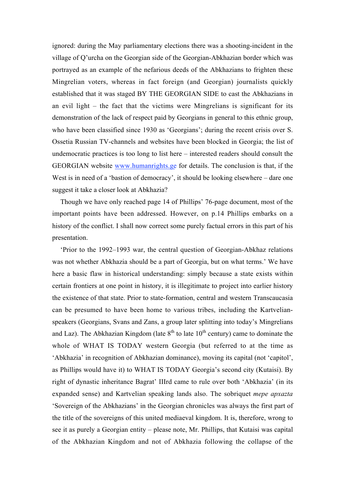ignored: during the May parliamentary elections there was a shooting-incident in the village of Q'urcha on the Georgian side of the Georgian-Abkhazian border which was portrayed as an example of the nefarious deeds of the Abkhazians to frighten these Mingrelian voters, whereas in fact foreign (and Georgian) journalists quickly established that it was staged BY THE GEORGIAN SIDE to cast the Abkhazians in an evil light – the fact that the victims were Mingrelians is significant for its demonstration of the lack of respect paid by Georgians in general to this ethnic group, who have been classified since 1930 as 'Georgians'; during the recent crisis over S. Ossetia Russian TV-channels and websites have been blocked in Georgia; the list of undemocratic practices is too long to list here – interested readers should consult the GEORGIAN website www.humanrights.ge for details. The conclusion is that, if the West is in need of a 'bastion of democracy', it should be looking elsewhere – dare one suggest it take a closer look at Abkhazia?

Though we have only reached page 14 of Phillips' 76-page document, most of the important points have been addressed. However, on p.14 Phillips embarks on a history of the conflict. I shall now correct some purely factual errors in this part of his presentation.

'Prior to the 1992–1993 war, the central question of Georgian-Abkhaz relations was not whether Abkhazia should be a part of Georgia, but on what terms.' We have here a basic flaw in historical understanding: simply because a state exists within certain frontiers at one point in history, it is illegitimate to project into earlier history the existence of that state. Prior to state-formation, central and western Transcaucasia can be presumed to have been home to various tribes, including the Kartvelianspeakers (Georgians, Svans and Zans, a group later splitting into today's Mingrelians and Laz). The Abkhazian Kingdom (late  $8<sup>th</sup>$  to late  $10<sup>th</sup>$  century) came to dominate the whole of WHAT IS TODAY western Georgia (but referred to at the time as 'Abkhazia' in recognition of Abkhazian dominance), moving its capital (not 'capitol', as Phillips would have it) to WHAT IS TODAY Georgia's second city (Kutaisi). By right of dynastic inheritance Bagrat' IIIrd came to rule over both 'Abkhazia' (in its expanded sense) and Kartvelian speaking lands also. The sobriquet *mepe apxazta* 'Sovereign of the Abkhazians' in the Georgian chronicles was always the first part of the title of the sovereigns of this united mediaeval kingdom. It is, therefore, wrong to see it as purely a Georgian entity – please note, Mr. Phillips, that Kutaisi was capital of the Abkhazian Kingdom and not of Abkhazia following the collapse of the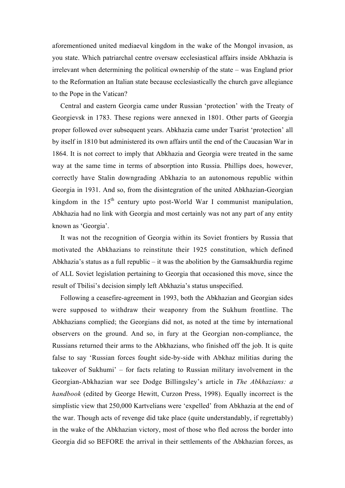aforementioned united mediaeval kingdom in the wake of the Mongol invasion, as you state. Which patriarchal centre oversaw ecclesiastical affairs inside Abkhazia is irrelevant when determining the political ownership of the state – was England prior to the Reformation an Italian state because ecclesiastically the church gave allegiance to the Pope in the Vatican?

Central and eastern Georgia came under Russian 'protection' with the Treaty of Georgievsk in 1783. These regions were annexed in 1801. Other parts of Georgia proper followed over subsequent years. Abkhazia came under Tsarist 'protection' all by itself in 1810 but administered its own affairs until the end of the Caucasian War in 1864. It is not correct to imply that Abkhazia and Georgia were treated in the same way at the same time in terms of absorption into Russia. Phillips does, however, correctly have Stalin downgrading Abkhazia to an autonomous republic within Georgia in 1931. And so, from the disintegration of the united Abkhazian-Georgian kingdom in the  $15<sup>th</sup>$  century upto post-World War I communist manipulation, Abkhazia had no link with Georgia and most certainly was not any part of any entity known as 'Georgia'.

It was not the recognition of Georgia within its Soviet frontiers by Russia that motivated the Abkhazians to reinstitute their 1925 constitution, which defined Abkhazia's status as a full republic – it was the abolition by the Gamsakhurdia regime of ALL Soviet legislation pertaining to Georgia that occasioned this move, since the result of Tbilisi's decision simply left Abkhazia's status unspecified.

Following a ceasefire-agreement in 1993, both the Abkhazian and Georgian sides were supposed to withdraw their weaponry from the Sukhum frontline. The Abkhazians complied; the Georgians did not, as noted at the time by international observers on the ground. And so, in fury at the Georgian non-compliance, the Russians returned their arms to the Abkhazians, who finished off the job. It is quite false to say 'Russian forces fought side-by-side with Abkhaz militias during the takeover of Sukhumi' – for facts relating to Russian military involvement in the Georgian-Abkhazian war see Dodge Billingsley's article in *The Abkhazians: a handbook* (edited by George Hewitt, Curzon Press, 1998). Equally incorrect is the simplistic view that 250,000 Kartvelians were 'expelled' from Abkhazia at the end of the war. Though acts of revenge did take place (quite understandably, if regrettably) in the wake of the Abkhazian victory, most of those who fled across the border into Georgia did so BEFORE the arrival in their settlements of the Abkhazian forces, as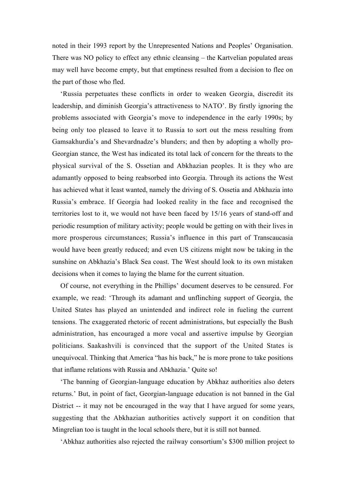noted in their 1993 report by the Unrepresented Nations and Peoples' Organisation. There was NO policy to effect any ethnic cleansing – the Kartvelian populated areas may well have become empty, but that emptiness resulted from a decision to flee on the part of those who fled.

'Russia perpetuates these conflicts in order to weaken Georgia, discredit its leadership, and diminish Georgia's attractiveness to NATO'. By firstly ignoring the problems associated with Georgia's move to independence in the early 1990s; by being only too pleased to leave it to Russia to sort out the mess resulting from Gamsakhurdia's and Shevardnadze's blunders; and then by adopting a wholly pro-Georgian stance, the West has indicated its total lack of concern for the threats to the physical survival of the S. Ossetian and Abkhazian peoples. It is they who are adamantly opposed to being reabsorbed into Georgia. Through its actions the West has achieved what it least wanted, namely the driving of S. Ossetia and Abkhazia into Russia's embrace. If Georgia had looked reality in the face and recognised the territories lost to it, we would not have been faced by 15/16 years of stand-off and periodic resumption of military activity; people would be getting on with their lives in more prosperous circumstances; Russia's influence in this part of Transcaucasia would have been greatly reduced; and even US citizens might now be taking in the sunshine on Abkhazia's Black Sea coast. The West should look to its own mistaken decisions when it comes to laying the blame for the current situation.

Of course, not everything in the Phillips' document deserves to be censured. For example, we read: 'Through its adamant and unflinching support of Georgia, the United States has played an unintended and indirect role in fueling the current tensions. The exaggerated rhetoric of recent administrations, but especially the Bush administration, has encouraged a more vocal and assertive impulse by Georgian politicians. Saakashvili is convinced that the support of the United States is unequivocal. Thinking that America "has his back," he is more prone to take positions that inflame relations with Russia and Abkhazia.' Quite so!

'The banning of Georgian-language education by Abkhaz authorities also deters returns.' But, in point of fact, Georgian-language education is not banned in the Gal District -- it may not be encouraged in the way that I have argued for some years, suggesting that the Abkhazian authorities actively support it on condition that Mingrelian too is taught in the local schools there, but it is still not banned.

'Abkhaz authorities also rejected the railway consortium's \$300 million project to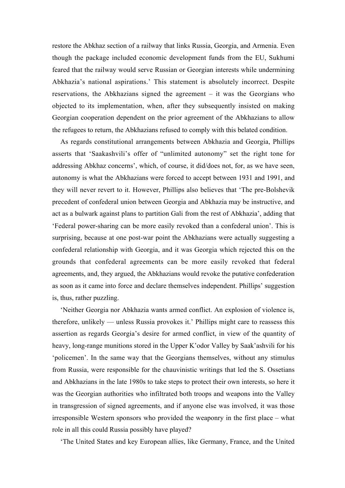restore the Abkhaz section of a railway that links Russia, Georgia, and Armenia. Even though the package included economic development funds from the EU, Sukhumi feared that the railway would serve Russian or Georgian interests while undermining Abkhazia's national aspirations.' This statement is absolutely incorrect. Despite reservations, the Abkhazians signed the agreement – it was the Georgians who objected to its implementation, when, after they subsequently insisted on making Georgian cooperation dependent on the prior agreement of the Abkhazians to allow the refugees to return, the Abkhazians refused to comply with this belated condition.

As regards constitutional arrangements between Abkhazia and Georgia, Phillips asserts that 'Saakashvili's offer of "unlimited autonomy" set the right tone for addressing Abkhaz concerns', which, of course, it did/does not, for, as we have seen, autonomy is what the Abkhazians were forced to accept between 1931 and 1991, and they will never revert to it. However, Phillips also believes that 'The pre-Bolshevik precedent of confederal union between Georgia and Abkhazia may be instructive, and act as a bulwark against plans to partition Gali from the rest of Abkhazia', adding that 'Federal power-sharing can be more easily revoked than a confederal union'. This is surprising, because at one post-war point the Abkhazians were actually suggesting a confederal relationship with Georgia, and it was Georgia which rejected this on the grounds that confederal agreements can be more easily revoked that federal agreements, and, they argued, the Abkhazians would revoke the putative confederation as soon as it came into force and declare themselves independent. Phillips' suggestion is, thus, rather puzzling.

'Neither Georgia nor Abkhazia wants armed conflict. An explosion of violence is, therefore, unlikely — unless Russia provokes it.' Phillips might care to reassess this assertion as regards Georgia's desire for armed conflict, in view of the quantity of heavy, long-range munitions stored in the Upper K'odor Valley by Saak'ashvili for his 'policemen'. In the same way that the Georgians themselves, without any stimulus from Russia, were responsible for the chauvinistic writings that led the S. Ossetians and Abkhazians in the late 1980s to take steps to protect their own interests, so here it was the Georgian authorities who infiltrated both troops and weapons into the Valley in transgression of signed agreements, and if anyone else was involved, it was those irresponsible Western sponsors who provided the weaponry in the first place – what role in all this could Russia possibly have played?

'The United States and key European allies, like Germany, France, and the United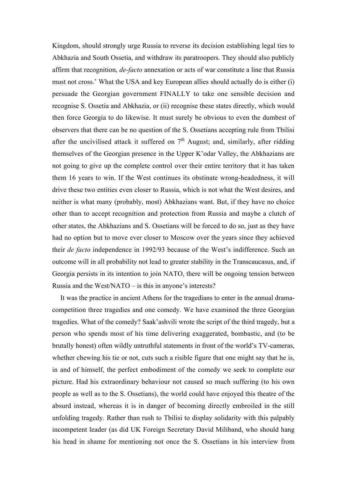Kingdom, should strongly urge Russia to reverse its decision establishing legal ties to Abkhazia and South Ossetia, and withdraw its paratroopers. They should also publicly affirm that recognition, *de-facto* annexation or acts of war constitute a line that Russia must not cross.' What the USA and key European allies should actually do is either (i) persuade the Georgian government FINALLY to take one sensible decision and recognise S. Ossetia and Abkhazia, or (ii) recognise these states directly, which would then force Georgia to do likewise. It must surely be obvious to even the dumbest of observers that there can be no question of the S. Ossetians accepting rule from Tbilisi after the uncivilised attack it suffered on  $7<sup>th</sup>$  August; and, similarly, after ridding themselves of the Georgian presence in the Upper K'odar Valley, the Abkhazians are not going to give up the complete control over their entire territory that it has taken them 16 years to win. If the West continues its obstinate wrong-headedness, it will drive these two entities even closer to Russia, which is not what the West desires, and neither is what many (probably, most) Abkhazians want. But, if they have no choice other than to accept recognition and protection from Russia and maybe a clutch of other states, the Abkhazians and S. Ossetians will be forced to do so, just as they have had no option but to move ever closer to Moscow over the years since they achieved their *de facto* independence in 1992/93 because of the West's indifference. Such an outcome will in all probability not lead to greater stability in the Transcaucasus, and, if Georgia persists in its intention to join NATO, there will be ongoing tension between Russia and the West/NATO – is this in anyone's interests?

It was the practice in ancient Athens for the tragedians to enter in the annual dramacompetition three tragedies and one comedy. We have examined the three Georgian tragedies. What of the comedy? Saak'ashvili wrote the script of the third tragedy, but a person who spends most of his time delivering exaggerated, bombastic, and (to be brutally honest) often wildly untruthful statements in front of the world's TV-cameras, whether chewing his tie or not, cuts such a risible figure that one might say that he is, in and of himself, the perfect embodiment of the comedy we seek to complete our picture. Had his extraordinary behaviour not caused so much suffering (to his own people as well as to the S. Ossetians), the world could have enjoyed this theatre of the absurd instead, whereas it is in danger of becoming directly embroiled in the still unfolding tragedy. Rather than rush to Tbilisi to display solidarity with this palpably incompetent leader (as did UK Foreign Secretary David Miliband, who should hang his head in shame for mentioning not once the S. Ossetians in his interview from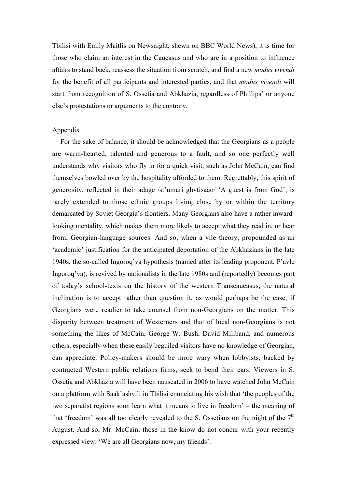Tbilisi with Emily Maitlis on Newsnight, shewn on BBC World News), it is time for those who claim an interest in the Caucasus and who are in a position to influence affairs to stand back, reassess the situation from scratch, and find a new *modus vivendi* for the benefit of all participants and interested parties, and that *modus vivendi* will start from recognition of S. Ossetia and Abkhazia, regardless of Phillips' or anyone else's protestations or arguments to the contrary.

## Appendix

For the sake of balance, it should be acknowledged that the Georgians as a people are warm-hearted, talented and generous to a fault, and so one perfectly well understands why visitors who fly in for a quick visit, such as John McCain, can find themselves bowled over by the hospitality afforded to them. Regrettably, this spirit of generosity, reflected in their adage /st'umari ghvtisaao/ 'A guest is from God', is rarely extended to those ethnic groups living close by or within the territory demarcated by Soviet Georgia's frontiers. Many Georgians also have a rather inwardlooking mentality, which makes them more likely to accept what they read in, or hear from, Georgian-language sources. And so, when a vile theory, propounded as an 'academic' justification for the anticipated deportation of the Abkhazians in the late 1940s, the so-called Ingoroq'va hypothesis (named after its leading proponent, P'avle Ingoroq'va), is revived by nationalists in the late 1980s and (reportedly) becomes part of today's school-texts on the history of the western Transcaucasus, the natural inclination is to accept rather than question it, as would perhaps be the case, if Georgians were readier to take counsel from non-Georgians on the matter. This disparity between treatment of Westerners and that of local non-Georgians is not something the likes of McCain, George W. Bush, David Miliband, and numerous others, especially when these easily beguiled visitors have no knowledge of Georgian, can appreciate. Policy-makers should be more wary when lobbyists, backed by contracted Western public relations firms, seek to bend their ears. Viewers in S. Ossetia and Abkhazia will have been nauseated in 2006 to have watched John McCain on a platform with Saak'ashvili in Tbilisi enunciating his wish that 'the peoples of the two separatist regions soon learn what it means to live in freedom' – the meaning of that 'freedom' was all too clearly revealed to the S. Ossetians on the night of the  $7<sup>th</sup>$ August. And so, Mr. McCain, those in the know do not concur with your recently expressed view: 'We are all Georgians now, my friends'.